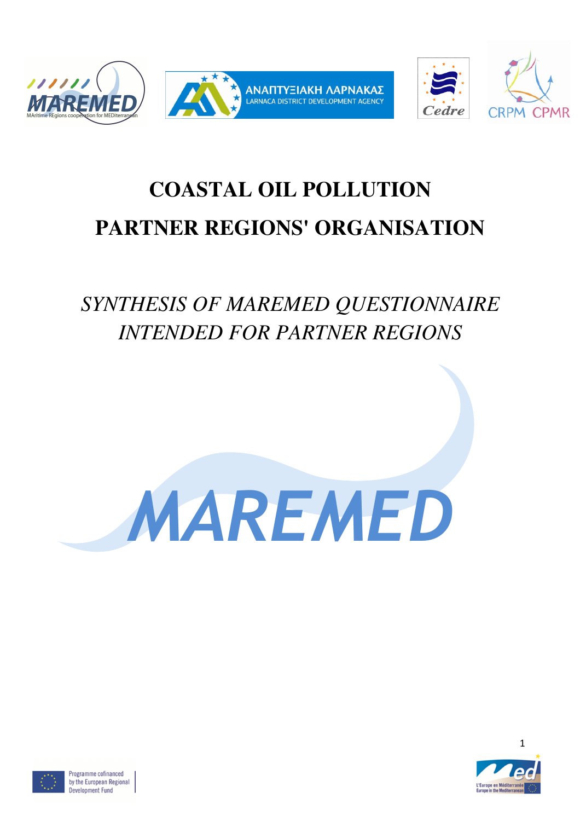

# **COASTAL OIL POLLUTION PARTNER REGIONS' ORGANISATION**

## *SYNTHESIS OF MAREMED QUESTIONNAIRE INTENDED FOR PARTNER REGIONS*





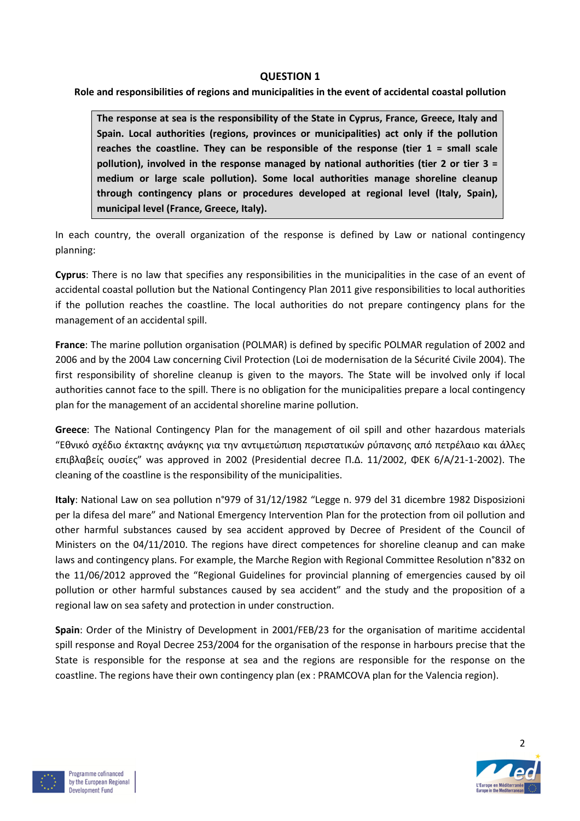#### QUESTION 1

Role and responsibilities of regions and municipalities in the event of accidental coastal pollution

The response at sea is the responsibility of the State in Cyprus, France, Greece, Italy and Spain. Local authorities (regions, provinces or municipalities) act only if the pollution reaches the coastline. They can be responsible of the response (tier  $1 = \text{small scale}$ ) pollution), involved in the response managed by national authorities (tier 2 or tier  $3 =$ medium or large scale pollution). Some local authorities manage shoreline cleanup through contingency plans or procedures developed at regional level (Italy, Spain), municipal level (France, Greece, Italy).

In each country, the overall organization of the response is defined by Law or national contingency planning:

Cyprus: There is no law that specifies any responsibilities in the municipalities in the case of an event of accidental coastal pollution but the National Contingency Plan 2011 give responsibilities to local authorities if the pollution reaches the coastline. The local authorities do not prepare contingency plans for the management of an accidental spill.

France: The marine pollution organisation (POLMAR) is defined by specific POLMAR regulation of 2002 and 2006 and by the 2004 Law concerning Civil Protection (Loi de modernisation de la Sécurité Civile 2004). The first responsibility of shoreline cleanup is given to the mayors. The State will be involved only if local authorities cannot face to the spill. There is no obligation for the municipalities prepare a local contingency plan for the management of an accidental shoreline marine pollution.

Greece: The National Contingency Plan for the management of oil spill and other hazardous materials "Εθνικό σχέδιο έκτακτης ανάγκης για την αντιμετώπιση περιστατικών ρύπανσης από πετρέλαιο και άλλες επιβλαβείς ουσίες" was approved in 2002 (Presidential decree Π.Δ. 11/2002, ΦΕΚ 6/Α/21-1-2002). The cleaning of the coastline is the responsibility of the municipalities.

Italy: National Law on sea pollution n°979 of 31/12/1982 "Legge n. 979 del 31 dicembre 1982 Disposizioni per la difesa del mare" and National Emergency Intervention Plan for the protection from oil pollution and other harmful substances caused by sea accident approved by Decree of President of the Council of Ministers on the 04/11/2010. The regions have direct competences for shoreline cleanup and can make laws and contingency plans. For example, the Marche Region with Regional Committee Resolution n°832 on the 11/06/2012 approved the "Regional Guidelines for provincial planning of emergencies caused by oil pollution or other harmful substances caused by sea accident" and the study and the proposition of a regional law on sea safety and protection in under construction.

Spain: Order of the Ministry of Development in 2001/FEB/23 for the organisation of maritime accidental spill response and Royal Decree 253/2004 for the organisation of the response in harbours precise that the State is responsible for the response at sea and the regions are responsible for the response on the coastline. The regions have their own contingency plan (ex : PRAMCOVA plan for the Valencia region).



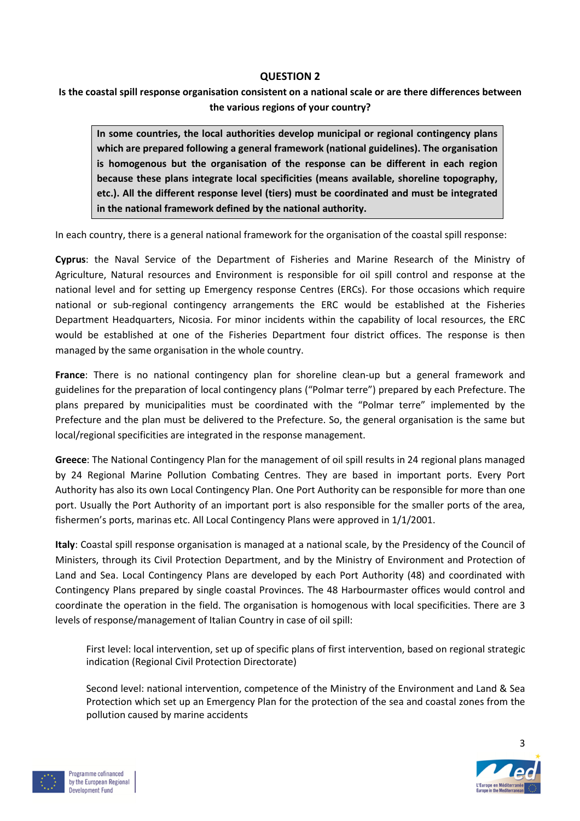#### QUESTION 2

Is the coastal spill response organisation consistent on a national scale or are there differences between the various regions of your country?

In some countries, the local authorities develop municipal or regional contingency plans which are prepared following a general framework (national guidelines). The organisation is homogenous but the organisation of the response can be different in each region because these plans integrate local specificities (means available, shoreline topography, etc.). All the different response level (tiers) must be coordinated and must be integrated in the national framework defined by the national authority.

In each country, there is a general national framework for the organisation of the coastal spill response:

Cyprus: the Naval Service of the Department of Fisheries and Marine Research of the Ministry of Agriculture, Natural resources and Environment is responsible for oil spill control and response at the national level and for setting up Emergency response Centres (ERCs). For those occasions which require national or sub-regional contingency arrangements the ERC would be established at the Fisheries Department Headquarters, Nicosia. For minor incidents within the capability of local resources, the ERC would be established at one of the Fisheries Department four district offices. The response is then managed by the same organisation in the whole country.

France: There is no national contingency plan for shoreline clean-up but a general framework and guidelines for the preparation of local contingency plans ("Polmar terre") prepared by each Prefecture. The plans prepared by municipalities must be coordinated with the "Polmar terre" implemented by the Prefecture and the plan must be delivered to the Prefecture. So, the general organisation is the same but local/regional specificities are integrated in the response management.

Greece: The National Contingency Plan for the management of oil spill results in 24 regional plans managed by 24 Regional Marine Pollution Combating Centres. They are based in important ports. Every Port Authority has also its own Local Contingency Plan. One Port Authority can be responsible for more than one port. Usually the Port Authority of an important port is also responsible for the smaller ports of the area, fishermen's ports, marinas etc. All Local Contingency Plans were approved in 1/1/2001.

Italy: Coastal spill response organisation is managed at a national scale, by the Presidency of the Council of Ministers, through its Civil Protection Department, and by the Ministry of Environment and Protection of Land and Sea. Local Contingency Plans are developed by each Port Authority (48) and coordinated with Contingency Plans prepared by single coastal Provinces. The 48 Harbourmaster offices would control and coordinate the operation in the field. The organisation is homogenous with local specificities. There are 3 levels of response/management of Italian Country in case of oil spill:

First level: local intervention, set up of specific plans of first intervention, based on regional strategic indication (Regional Civil Protection Directorate)

Second level: national intervention, competence of the Ministry of the Environment and Land & Sea Protection which set up an Emergency Plan for the protection of the sea and coastal zones from the pollution caused by marine accidents



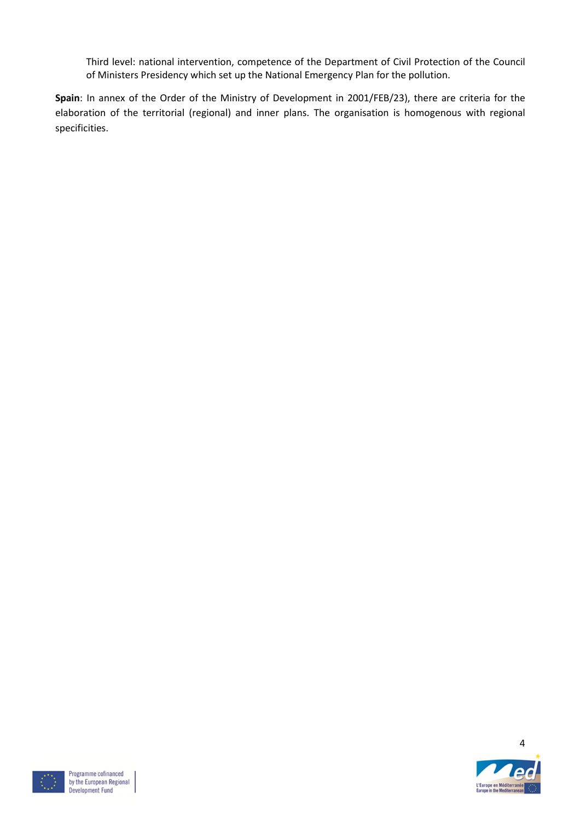Third level: national intervention, competence of the Department of Civil Protection of the Council of Ministers Presidency which set up the National Emergency Plan for the pollution.

Spain: In annex of the Order of the Ministry of Development in 2001/FEB/23), there are criteria for the elaboration of the territorial (regional) and inner plans. The organisation is homogenous with regional specificities.



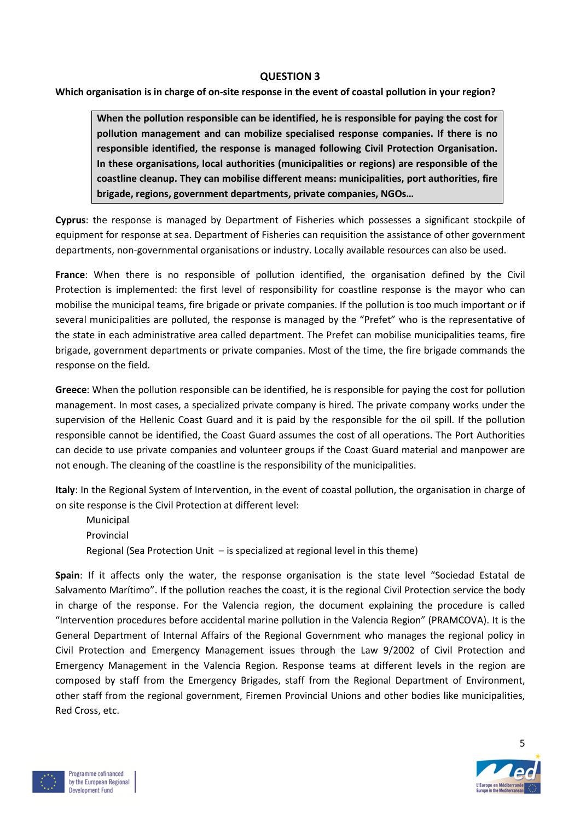#### QUESTION 3

Which organisation is in charge of on-site response in the event of coastal pollution in your region?

When the pollution responsible can be identified, he is responsible for paying the cost for pollution management and can mobilize specialised response companies. If there is no responsible identified, the response is managed following Civil Protection Organisation. In these organisations, local authorities (municipalities or regions) are responsible of the coastline cleanup. They can mobilise different means: municipalities, port authorities, fire brigade, regions, government departments, private companies, NGOs…

Cyprus: the response is managed by Department of Fisheries which possesses a significant stockpile of equipment for response at sea. Department of Fisheries can requisition the assistance of other government departments, non-governmental organisations or industry. Locally available resources can also be used.

France: When there is no responsible of pollution identified, the organisation defined by the Civil Protection is implemented: the first level of responsibility for coastline response is the mayor who can mobilise the municipal teams, fire brigade or private companies. If the pollution is too much important or if several municipalities are polluted, the response is managed by the "Prefet" who is the representative of the state in each administrative area called department. The Prefet can mobilise municipalities teams, fire brigade, government departments or private companies. Most of the time, the fire brigade commands the response on the field.

Greece: When the pollution responsible can be identified, he is responsible for paying the cost for pollution management. In most cases, a specialized private company is hired. The private company works under the supervision of the Hellenic Coast Guard and it is paid by the responsible for the oil spill. If the pollution responsible cannot be identified, the Coast Guard assumes the cost of all operations. The Port Authorities can decide to use private companies and volunteer groups if the Coast Guard material and manpower are not enough. The cleaning of the coastline is the responsibility of the municipalities.

Italy: In the Regional System of Intervention, in the event of coastal pollution, the organisation in charge of on site response is the Civil Protection at different level:

Municipal Provincial Regional (Sea Protection Unit – is specialized at regional level in this theme)

Spain: If it affects only the water, the response organisation is the state level "Sociedad Estatal de Salvamento Marítimo". If the pollution reaches the coast, it is the regional Civil Protection service the body in charge of the response. For the Valencia region, the document explaining the procedure is called "Intervention procedures before accidental marine pollution in the Valencia Region" (PRAMCOVA). It is the General Department of Internal Affairs of the Regional Government who manages the regional policy in Civil Protection and Emergency Management issues through the Law 9/2002 of Civil Protection and Emergency Management in the Valencia Region. Response teams at different levels in the region are composed by staff from the Emergency Brigades, staff from the Regional Department of Environment, other staff from the regional government, Firemen Provincial Unions and other bodies like municipalities, Red Cross, etc.



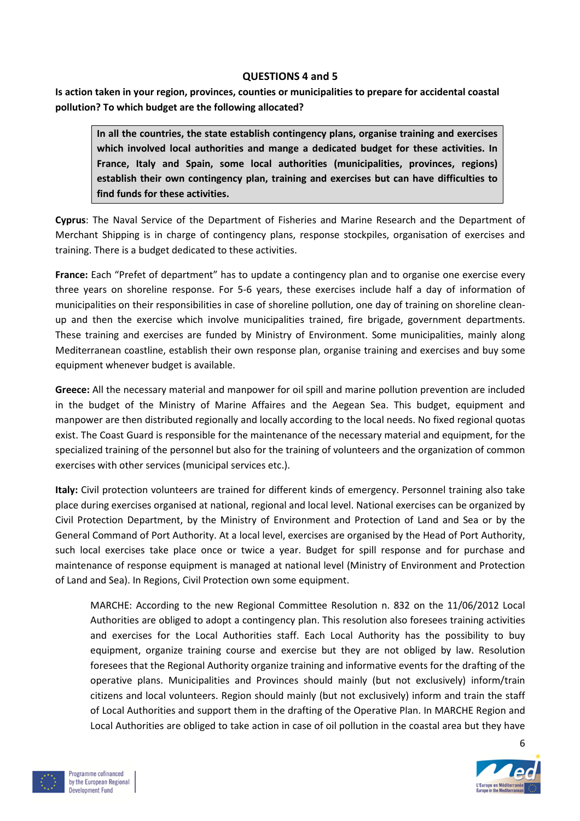#### QUESTIONS 4 and 5

Is action taken in your region, provinces, counties or municipalities to prepare for accidental coastal pollution? To which budget are the following allocated?

In all the countries, the state establish contingency plans, organise training and exercises which involved local authorities and mange a dedicated budget for these activities. In France, Italy and Spain, some local authorities (municipalities, provinces, regions) establish their own contingency plan, training and exercises but can have difficulties to find funds for these activities.

Cyprus: The Naval Service of the Department of Fisheries and Marine Research and the Department of Merchant Shipping is in charge of contingency plans, response stockpiles, organisation of exercises and training. There is a budget dedicated to these activities.

France: Each "Prefet of department" has to update a contingency plan and to organise one exercise every three years on shoreline response. For 5-6 years, these exercises include half a day of information of municipalities on their responsibilities in case of shoreline pollution, one day of training on shoreline cleanup and then the exercise which involve municipalities trained, fire brigade, government departments. These training and exercises are funded by Ministry of Environment. Some municipalities, mainly along Mediterranean coastline, establish their own response plan, organise training and exercises and buy some equipment whenever budget is available.

Greece: All the necessary material and manpower for oil spill and marine pollution prevention are included in the budget of the Ministry of Marine Affaires and the Aegean Sea. This budget, equipment and manpower are then distributed regionally and locally according to the local needs. No fixed regional quotas exist. The Coast Guard is responsible for the maintenance of the necessary material and equipment, for the specialized training of the personnel but also for the training of volunteers and the organization of common exercises with other services (municipal services etc.).

Italy: Civil protection volunteers are trained for different kinds of emergency. Personnel training also take place during exercises organised at national, regional and local level. National exercises can be organized by Civil Protection Department, by the Ministry of Environment and Protection of Land and Sea or by the General Command of Port Authority. At a local level, exercises are organised by the Head of Port Authority, such local exercises take place once or twice a year. Budget for spill response and for purchase and maintenance of response equipment is managed at national level (Ministry of Environment and Protection of Land and Sea). In Regions, Civil Protection own some equipment.

MARCHE: According to the new Regional Committee Resolution n. 832 on the 11/06/2012 Local Authorities are obliged to adopt a contingency plan. This resolution also foresees training activities and exercises for the Local Authorities staff. Each Local Authority has the possibility to buy equipment, organize training course and exercise but they are not obliged by law. Resolution foresees that the Regional Authority organize training and informative events for the drafting of the operative plans. Municipalities and Provinces should mainly (but not exclusively) inform/train citizens and local volunteers. Region should mainly (but not exclusively) inform and train the staff of Local Authorities and support them in the drafting of the Operative Plan. In MARCHE Region and Local Authorities are obliged to take action in case of oil pollution in the coastal area but they have



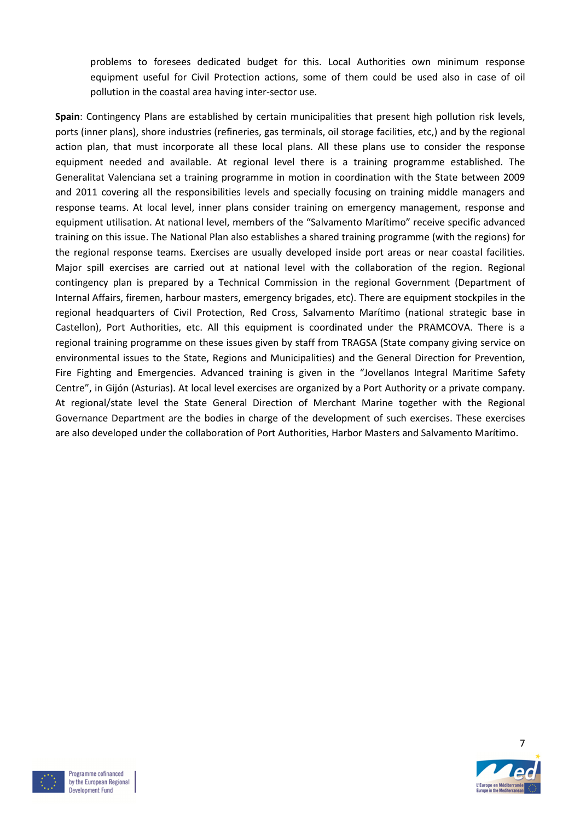problems to foresees dedicated budget for this. Local Authorities own minimum response equipment useful for Civil Protection actions, some of them could be used also in case of oil pollution in the coastal area having inter-sector use.

Spain: Contingency Plans are established by certain municipalities that present high pollution risk levels, ports (inner plans), shore industries (refineries, gas terminals, oil storage facilities, etc,) and by the regional action plan, that must incorporate all these local plans. All these plans use to consider the response equipment needed and available. At regional level there is a training programme established. The Generalitat Valenciana set a training programme in motion in coordination with the State between 2009 and 2011 covering all the responsibilities levels and specially focusing on training middle managers and response teams. At local level, inner plans consider training on emergency management, response and equipment utilisation. At national level, members of the "Salvamento Marítimo" receive specific advanced training on this issue. The National Plan also establishes a shared training programme (with the regions) for the regional response teams. Exercises are usually developed inside port areas or near coastal facilities. Major spill exercises are carried out at national level with the collaboration of the region. Regional contingency plan is prepared by a Technical Commission in the regional Government (Department of Internal Affairs, firemen, harbour masters, emergency brigades, etc). There are equipment stockpiles in the regional headquarters of Civil Protection, Red Cross, Salvamento Marítimo (national strategic base in Castellon), Port Authorities, etc. All this equipment is coordinated under the PRAMCOVA. There is a regional training programme on these issues given by staff from TRAGSA (State company giving service on environmental issues to the State, Regions and Municipalities) and the General Direction for Prevention, Fire Fighting and Emergencies. Advanced training is given in the "Jovellanos Integral Maritime Safety Centre", in Gijón (Asturias). At local level exercises are organized by a Port Authority or a private company. At regional/state level the State General Direction of Merchant Marine together with the Regional Governance Department are the bodies in charge of the development of such exercises. These exercises are also developed under the collaboration of Port Authorities, Harbor Masters and Salvamento Marítimo.



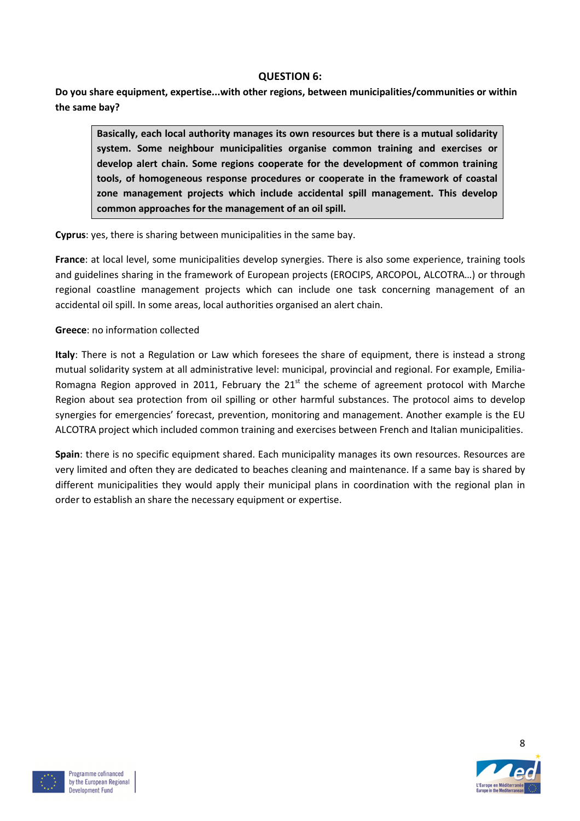#### QUESTION 6:

Do you share equipment, expertise...with other regions, between municipalities/communities or within the same bay?

Basically, each local authority manages its own resources but there is a mutual solidarity system. Some neighbour municipalities organise common training and exercises or develop alert chain. Some regions cooperate for the development of common training tools, of homogeneous response procedures or cooperate in the framework of coastal zone management projects which include accidental spill management. This develop common approaches for the management of an oil spill.

Cyprus: yes, there is sharing between municipalities in the same bay.

France: at local level, some municipalities develop synergies. There is also some experience, training tools and guidelines sharing in the framework of European projects (EROCIPS, ARCOPOL, ALCOTRA…) or through regional coastline management projects which can include one task concerning management of an accidental oil spill. In some areas, local authorities organised an alert chain.

#### Greece: no information collected

Italy: There is not a Regulation or Law which foresees the share of equipment, there is instead a strong mutual solidarity system at all administrative level: municipal, provincial and regional. For example, Emilia-Romagna Region approved in 2011, February the  $21<sup>st</sup>$  the scheme of agreement protocol with Marche Region about sea protection from oil spilling or other harmful substances. The protocol aims to develop synergies for emergencies' forecast, prevention, monitoring and management. Another example is the EU ALCOTRA project which included common training and exercises between French and Italian municipalities.

Spain: there is no specific equipment shared. Each municipality manages its own resources. Resources are very limited and often they are dedicated to beaches cleaning and maintenance. If a same bay is shared by different municipalities they would apply their municipal plans in coordination with the regional plan in order to establish an share the necessary equipment or expertise.



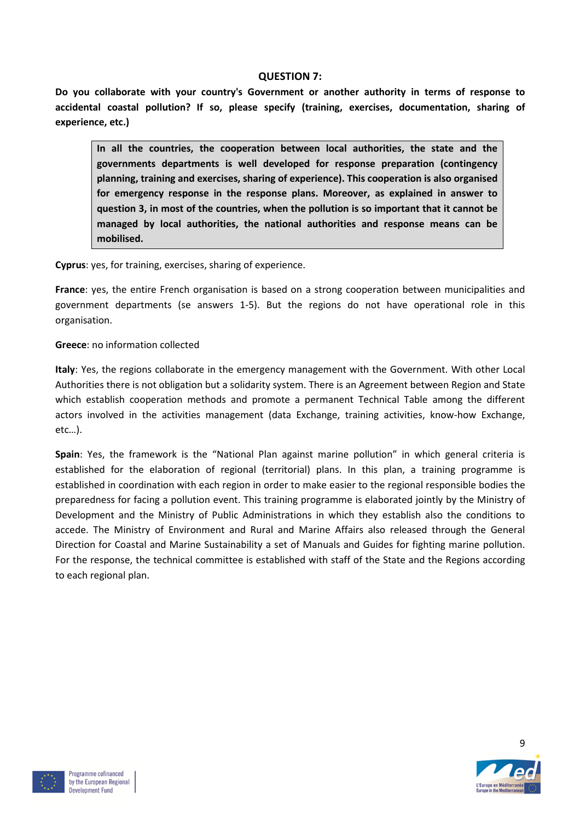#### QUESTION 7:

Do you collaborate with your country's Government or another authority in terms of response to accidental coastal pollution? If so, please specify (training, exercises, documentation, sharing of experience, etc.)

In all the countries, the cooperation between local authorities, the state and the governments departments is well developed for response preparation (contingency planning, training and exercises, sharing of experience). This cooperation is also organised for emergency response in the response plans. Moreover, as explained in answer to question 3, in most of the countries, when the pollution is so important that it cannot be managed by local authorities, the national authorities and response means can be mobilised.

Cyprus: yes, for training, exercises, sharing of experience.

France: yes, the entire French organisation is based on a strong cooperation between municipalities and government departments (se answers 1-5). But the regions do not have operational role in this organisation.

#### Greece: no information collected

Italy: Yes, the regions collaborate in the emergency management with the Government. With other Local Authorities there is not obligation but a solidarity system. There is an Agreement between Region and State which establish cooperation methods and promote a permanent Technical Table among the different actors involved in the activities management (data Exchange, training activities, know-how Exchange, etc…).

Spain: Yes, the framework is the "National Plan against marine pollution" in which general criteria is established for the elaboration of regional (territorial) plans. In this plan, a training programme is established in coordination with each region in order to make easier to the regional responsible bodies the preparedness for facing a pollution event. This training programme is elaborated jointly by the Ministry of Development and the Ministry of Public Administrations in which they establish also the conditions to accede. The Ministry of Environment and Rural and Marine Affairs also released through the General Direction for Coastal and Marine Sustainability a set of Manuals and Guides for fighting marine pollution. For the response, the technical committee is established with staff of the State and the Regions according to each regional plan.



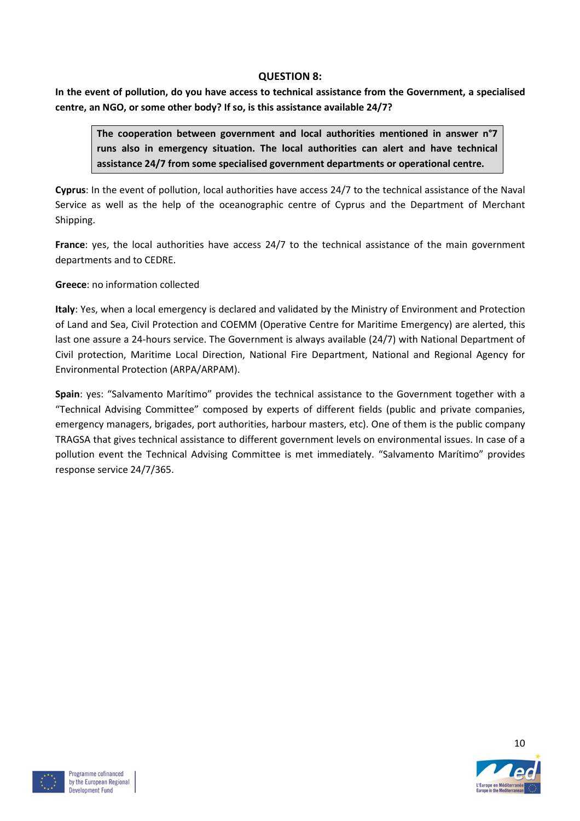#### QUESTION 8:

In the event of pollution, do you have access to technical assistance from the Government, a specialised centre, an NGO, or some other body? If so, is this assistance available 24/7?

The cooperation between government and local authorities mentioned in answer n°7 runs also in emergency situation. The local authorities can alert and have technical assistance 24/7 from some specialised government departments or operational centre.

Cyprus: In the event of pollution, local authorities have access 24/7 to the technical assistance of the Naval Service as well as the help of the oceanographic centre of Cyprus and the Department of Merchant Shipping.

France: yes, the local authorities have access 24/7 to the technical assistance of the main government departments and to CEDRE.

Greece: no information collected

Italy: Yes, when a local emergency is declared and validated by the Ministry of Environment and Protection of Land and Sea, Civil Protection and COEMM (Operative Centre for Maritime Emergency) are alerted, this last one assure a 24-hours service. The Government is always available (24/7) with National Department of Civil protection, Maritime Local Direction, National Fire Department, National and Regional Agency for Environmental Protection (ARPA/ARPAM).

Spain: yes: "Salvamento Marítimo" provides the technical assistance to the Government together with a "Technical Advising Committee" composed by experts of different fields (public and private companies, emergency managers, brigades, port authorities, harbour masters, etc). One of them is the public company TRAGSA that gives technical assistance to different government levels on environmental issues. In case of a pollution event the Technical Advising Committee is met immediately. "Salvamento Marítimo" provides response service 24/7/365.



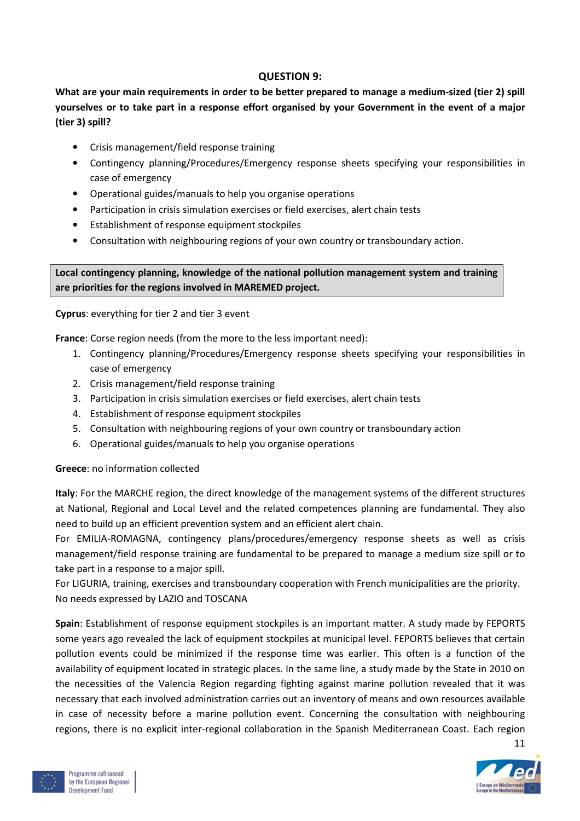#### QUESTION 9:

What are your main requirements in order to be better prepared to manage a medium-sized (tier 2) spill yourselves or to take part in a response effort organised by your Government in the event of a major (tier 3) spill?

- Crisis management/field response training
- Contingency planning/Procedures/Emergency response sheets specifying your responsibilities in case of emergency
- Operational guides/manuals to help you organise operations
- Participation in crisis simulation exercises or field exercises, alert chain tests
- Establishment of response equipment stockpiles
- Consultation with neighbouring regions of your own country or transboundary action.

Local contingency planning, knowledge of the national pollution management system and training are priorities for the regions involved in MAREMED project.

Cyprus: everything for tier 2 and tier 3 event

France: Corse region needs (from the more to the less important need):

- 1. Contingency planning/Procedures/Emergency response sheets specifying your responsibilities in case of emergency
- 2. Crisis management/field response training
- 3. Participation in crisis simulation exercises or field exercises, alert chain tests
- 4. Establishment of response equipment stockpiles
- 5. Consultation with neighbouring regions of your own country or transboundary action
- 6. Operational guides/manuals to help you organise operations

#### Greece: no information collected

Italy: For the MARCHE region, the direct knowledge of the management systems of the different structures at National, Regional and Local Level and the related competences planning are fundamental. They also need to build up an efficient prevention system and an efficient alert chain.

For EMILIA-ROMAGNA, contingency plans/procedures/emergency response sheets as well as crisis management/field response training are fundamental to be prepared to manage a medium size spill or to take part in a response to a major spill.

For LIGURIA, training, exercises and transboundary cooperation with French municipalities are the priority. No needs expressed by LAZIO and TOSCANA

Spain: Establishment of response equipment stockpiles is an important matter. A study made by FEPORTS some years ago revealed the lack of equipment stockpiles at municipal level. FEPORTS believes that certain pollution events could be minimized if the response time was earlier. This often is a function of the availability of equipment located in strategic places. In the same line, a study made by the State in 2010 on the necessities of the Valencia Region regarding fighting against marine pollution revealed that it was necessary that each involved administration carries out an inventory of means and own resources available in case of necessity before a marine pollution event. Concerning the consultation with neighbouring regions, there is no explicit inter-regional collaboration in the Spanish Mediterranean Coast. Each region





11